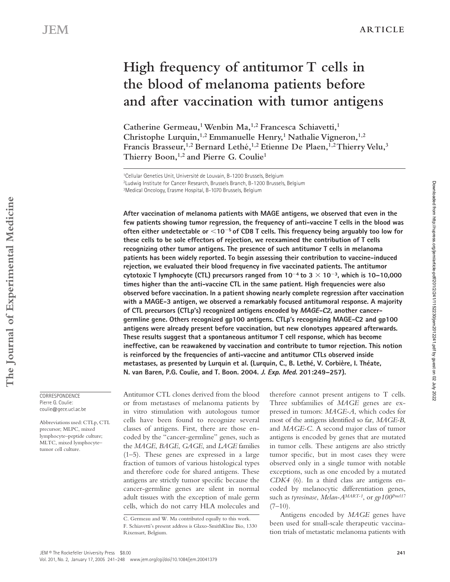# **High frequency of antitumor T cells in the blood of melanoma patients before and after vaccination with tumor antigens**

Catherine Germeau,<sup>1</sup> Wenbin Ma,<sup>1,2</sup> Francesca Schiavetti,<sup>1</sup> Christophe Lurquin,<sup>1,2</sup> Emmanuelle Henry,<sup>1</sup> Nathalie Vigneron,<sup>1,2</sup> **Francis Brasseur,1,2 Bernard Lethé,1,2 Etienne De Plaen,1,2 Thierry Velu,3**  Thierry Boon,<sup>1,2</sup> and Pierre G. Coulie<sup>1</sup>

**After vaccination of melanoma patients with MAGE antigens, we observed that even in the few patients showing tumor regression, the frequency of anti-vaccine T cells in the blood was often either undetectable or 10**-**5 of CD8 T cells. This frequency being arguably too low for these cells to be sole effectors of rejection, we reexamined the contribution of T cells recognizing other tumor antigens. The presence of such antitumor T cells in melanoma patients has been widely reported. To begin assessing their contribution to vaccine-induced rejection, we evaluated their blood frequency in five vaccinated patients. The antitumor cytotoxic T lymphocyte (CTL) precursors ranged from 10**-**4 to 3 10**-**3, which is 10–10,000 times higher than the anti-vaccine CTL in the same patient. High frequencies were also observed before vaccination. In a patient showing nearly complete regression after vaccination with a MAGE-3 antigen, we observed a remarkably focused antitumoral response. A majority of CTL precursors (CTLp's) recognized antigens encoded by MAGE-C2, another cancergermline gene. Others recognized gp100 antigens. CTLp's recognizing MAGE-C2 and gp100 antigens were already present before vaccination, but new clonotypes appeared afterwards. These results suggest that a spontaneous antitumor T cell response, which has become ineffective, can be reawakened by vaccination and contribute to tumor rejection. This notion is reinforced by the frequencies of anti-vaccine and antitumor CTLs observed inside metastases, as presented by Lurquin et al. (Lurquin, C., B. Lethé, V. Corbière, I. Théate, N. van Baren, P.G. Coulie, and T. Boon. 2004. J. Exp. Med. 201:249–257).**

**CORRESPONDENCE** Pierre G. Coulie: coulie@gece.ucl.ac.be

Abbreviations used: CTLp, CTL precursor; MLPC, mixed lymphocyte–peptide culture; MLTC, mixed lymphocyte– tumor cell culture.

Antitumor CTL clones derived from the blood or from metastases of melanoma patients by in vitro stimulation with autologous tumor cells have been found to recognize several classes of antigens. First, there are those encoded by the "cancer-germline" genes, such as the *MAGE*, *BAGE*, *GAGE*, and *LAGE* families (1–5). These genes are expressed in a large fraction of tumors of various histological types and therefore code for shared antigens. These antigens are strictly tumor specific because the cancer-germline genes are silent in normal adult tissues with the exception of male germ cells, which do not carry HLA molecules and

therefore cannot present antigens to T cells. Three subfamilies of *MAGE* genes are expressed in tumors: *MAGE-A*, which codes for most of the antigens identified so far, *MAGE-B*, and *MAGE-C*. A second major class of tumor antigens is encoded by genes that are mutated in tumor cells. These antigens are also strictly tumor specific, but in most cases they were observed only in a single tumor with notable exceptions, such as one encoded by a mutated *CDK4* (6). In a third class are antigens encoded by melanocytic differentiation genes, such as *tyrosinase*, *Melan-AMART-1*, or *gp100Pmel17*  $(7-10)$ .

Antigens encoded by *MAGE* genes have been used for small-scale therapeutic vaccination trials of metastatic melanoma patients with Downloaded from http://rupress.org/jem/article-pdf/201/2/241/1152230/jem2012241.pdf by guest on 02 July 2022

Downloaded from http://rupress.org/jem/article-pdf/201/2/241/1152230/jem2012241.pdf by guest on 02 July 2022

<sup>1</sup>Cellular Genetics Unit, Université de Louvain, B-1200 Brussels, Belgium 2Ludwig Institute for Cancer Research, Brussels Branch, B-1200 Brussels, Belgium <sup>3</sup>Medical Oncology, Erasme Hospital, B-1070 Brussels, Belgium

C. Germeau and W. Ma contributed equally to this work. F. Schiavetti's present address is Glaxo-SmithKline Bio, 1330 Rixensart, Belgium.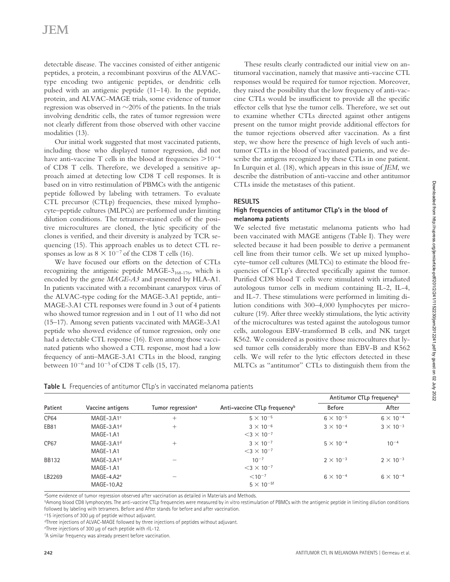detectable disease. The vaccines consisted of either antigenic peptides, a protein, a recombinant poxvirus of the ALVACtype encoding two antigenic peptides, or dendritic cells pulsed with an antigenic peptide (11–14). In the peptide, protein, and ALVAC-MAGE trials, some evidence of tumor regression was observed in  $\sim$ 20% of the patients. In the trials involving dendritic cells, the rates of tumor regression were not clearly different from those observed with other vaccine modalities (13).

Our initial work suggested that most vaccinated patients, including those who displayed tumor regression, did not have anti-vaccine T cells in the blood at frequencies  $>$ 10<sup>-4</sup> of CD8 T cells. Therefore, we developed a sensitive approach aimed at detecting low CD8 T cell responses. It is based on in vitro restimulation of PBMCs with the antigenic peptide followed by labeling with tetramers. To evaluate CTL precursor (CTLp) frequencies, these mixed lymphocyte–peptide cultures (MLPCs) are performed under limiting dilution conditions. The tetramer-stained cells of the positive microcultures are cloned, the lytic specificity of the clones is verified, and their diversity is analyzed by TCR sequencing (15). This approach enables us to detect CTL responses as low as  $8 \times 10^{-7}$  of the CD8 T cells (16).

We have focused our efforts on the detection of CTLs recognizing the antigenic peptide MAGE- $3<sub>168-176</sub>$ , which is encoded by the gene *MAGE-A3* and presented by HLA-A1. In patients vaccinated with a recombinant canarypox virus of the ALVAC-type coding for the MAGE-3.A1 peptide, anti– MAGE-3.A1 CTL responses were found in 3 out of 4 patients who showed tumor regression and in 1 out of 11 who did not (15–17). Among seven patients vaccinated with MAGE-3.A1 peptide who showed evidence of tumor regression, only one had a detectable CTL response (16). Even among those vaccinated patients who showed a CTL response, most had a low frequency of anti–MAGE-3.A1 CTLs in the blood, ranging between  $10^{-6}$  and  $10^{-5}$  of CD8 T cells (15, 17).

These results clearly contradicted our initial view on antitumoral vaccination, namely that massive anti-vaccine CTL responses would be required for tumor rejection. Moreover, they raised the possibility that the low frequency of anti-vaccine CTLs would be insufficient to provide all the specific effector cells that lyse the tumor cells. Therefore, we set out to examine whether CTLs directed against other antigens present on the tumor might provide additional effectors for the tumor rejections observed after vaccination. As a first step, we show here the presence of high levels of such antitumor CTLs in the blood of vaccinated patients, and we describe the antigens recognized by these CTLs in one patient. In Lurquin et al. (18), which appears in this issue of *JEM*, we describe the distribution of anti-vaccine and other antitumor CTLs inside the metastases of this patient.

## **RESULTS**

## **High frequencies of antitumor CTLp's in the blood of melanoma patients**

We selected five metastatic melanoma patients who had been vaccinated with MAGE antigens (Table I). They were selected because it had been possible to derive a permanent cell line from their tumor cells. We set up mixed lymphocyte–tumor cell cultures (MLTCs) to estimate the blood frequencies of CTLp's directed specifically against the tumor. Purified CD8 blood T cells were stimulated with irradiated autologous tumor cells in medium containing IL-2, IL-4, and IL-7. These stimulations were performed in limiting dilution conditions with 300–4,000 lymphocytes per microculture (19). After three weekly stimulations, the lytic activity of the microcultures was tested against the autologous tumor cells, autologous EBV-transformed B cells, and NK target K562. We considered as positive those microcultures that lysed tumor cells considerably more than EBV-B and K562 cells. We will refer to the lytic effectors detected in these MLTCs as "antitumor" CTLs to distinguish them from the

| <b>Table I.</b> Frequencies of antitumor CTLp's in vaccinated melanoma patients |  |
|---------------------------------------------------------------------------------|--|
|---------------------------------------------------------------------------------|--|

|              |                                     |                               |                                                       |                    | Antitumor CTLp frequency <sup>b</sup> |
|--------------|-------------------------------------|-------------------------------|-------------------------------------------------------|--------------------|---------------------------------------|
| Patient      | Vaccine antigens                    | Tumor regression <sup>a</sup> | Anti-vaccine CTLp frequency <sup>b</sup>              | <b>Before</b>      | After                                 |
| <b>CP64</b>  | MAGE-3.A1 $c$                       | $^{+}$                        | $5 \times 10^{-5}$                                    | $6 \times 10^{-5}$ | $6 \times 10^{-4}$                    |
| EB81         | MAGE-3.A1 <sup>d</sup><br>MAGE-1.A1 | $^{+}$                        | $3 \times 10^{-6}$<br>$<$ 3 $\times$ 10 <sup>-7</sup> | $3 \times 10^{-4}$ | $3 \times 10^{-3}$                    |
| <b>CP67</b>  | MAGE-3.A1 <sup>d</sup><br>MAGE-1.A1 | $^{+}$                        | $3 \times 10^{-7}$<br>$<$ 3 $\times$ 10 <sup>-7</sup> | $5 \times 10^{-4}$ | $10^{-4}$                             |
| <b>BB132</b> | $MAGE-3.A1d$<br>MAGE-1.A1           |                               | $10^{-7}$<br>$<$ 3 $\times$ 10 <sup>-7</sup>          | $2 \times 10^{-3}$ | $2 \times 10^{-3}$                    |
| LB2269       | MAGE-4.A2 $e$<br>MAGE-10.A2         |                               | $< 10^{-7}$<br>$5 \times 10^{-5f}$                    | $6 \times 10^{-4}$ | $6 \times 10^{-4}$                    |

a Some evidence of tumor regression observed after vaccination as detailed in Materials and Methods.

bAmong blood CD8 lymphocytes. The anti-vaccine CTLp frequencies were measured by in vitro restimulation of PBMCs with the antigenic peptide in limiting dilution conditions followed by labeling with tetramers. Before and After stands for before and after vaccination.

<sup>c</sup>15 injections of 300 µg of peptide without adjuvant.

dThree injections of ALVAC-MAGE followed by three injections of peptides without adjuvant.

e Three injections of 300 µg of each peptide with rIL-12.

f A similar frequency was already present before vaccination.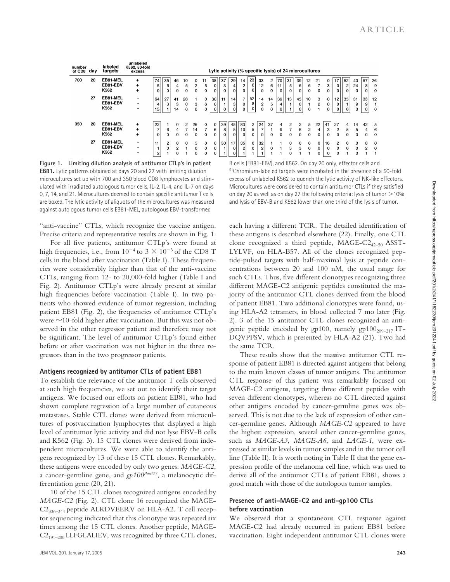| number<br>of CD8 | day | labeled<br>targets           | unlabeled<br>K562, 50-fold<br>excess |                           |                            |                           |                               |                    |                        |                                         |                     |                                |                           | Lytic activity (% specific lysis) of 24 microcultures |                           |                     |                             |                     |                          |                                 |                           |                     |                                  |                                  |               |              |                        |
|------------------|-----|------------------------------|--------------------------------------|---------------------------|----------------------------|---------------------------|-------------------------------|--------------------|------------------------|-----------------------------------------|---------------------|--------------------------------|---------------------------|-------------------------------------------------------|---------------------------|---------------------|-----------------------------|---------------------|--------------------------|---------------------------------|---------------------------|---------------------|----------------------------------|----------------------------------|---------------|--------------|------------------------|
| 700              | 20  | EB81-MEL<br>EB81-EBV<br>K562 | +<br>$\ddot{}$<br>+                  | 74<br>5<br>0              | 35<br>6<br>$\mathbf 0$     | 46<br>4                   | 10<br>5<br>$\Omega$           | 0<br>2<br>$\Omega$ | 11<br>5<br>0           | 38 <sup>1</sup><br>$\overline{0}$<br>ΩI | 37<br>3<br>$\Omega$ | 29<br>$\vert$<br>$\Omega$      | 14<br>$\overline{c}$<br>0 | 23<br>6<br>0                                          | 33<br>12<br>$\Omega$      | 2<br>6<br>$\Omega$  | 70 l<br>11<br>$\Omega$      | 31<br>5<br>$\Omega$ | 39<br>6<br>0             | 12<br>6<br>0                    | 21<br>0                   | $\bf{0}$<br>3<br>0  | 17 <sup>1</sup><br>0<br>0 l      | 52<br>$\overline{c}$<br>$\Omega$ | 40<br>24<br>0 | 57<br>8      | 26<br>9<br>$\mathbf 0$ |
|                  | 27  | EB81-MEL<br>EB81-EBV<br>K562 | $\blacksquare$<br>$\blacksquare$     | 64<br>4<br>15             | 27<br>3                    | 41<br>3<br>14             | 28<br>$\Omega$<br>$\mathbf 0$ | 3<br>0             | $\mathbf{0}$<br>6<br>0 | 30 l<br>$\Omega$<br>$\mathbf 0$         | 11                  | 14<br>$\mathbf{3}$<br>$\Omega$ | $\overline{7}$<br>0<br>0  | 52<br>8<br>0                                          | 14<br>$\overline{2}$<br>0 | 14<br>5<br>$\bf{0}$ | 39 l<br>$\overline{4}$<br>0 | 13                  | 45<br>0<br>$\Omega$      | 10<br>0                         | 3<br>$\overline{c}$       | $\Omega$<br>0<br>0  | 12 <sub>1</sub><br>$\Omega$<br>0 | 35 <sub>1</sub><br>$\mathbf{0}$  | 31<br>9<br>0  | 33<br>9      | 12<br>$\mathbf 0$      |
| 350              | 20  | EB81-MEL<br>EB81-EBV<br>K562 | $\ddot{}$<br>$\ddot{}$<br>÷          | 22<br>7<br>0              | 6<br>$\Omega$              | $\Omega$<br>4<br>$\Omega$ | $\mathfrak{p}$<br>$\Omega$    | 26<br>14<br>0      | $\Omega$<br>$\Omega$   | 0<br>6<br>0                             | 39<br>8<br>0        | 45<br>5 <sup>1</sup><br>οI     | 83<br>10<br>0             | $\overline{c}$<br>5<br>0                              | 24<br>7<br>0              | 37<br>$\Omega$      | 4<br>9<br>0                 | 2<br><sup>0</sup>   | $\mathfrak{p}$<br>6<br>0 | 5<br>$\overline{2}$<br>$\Omega$ | 22<br>4<br>0              | 41<br>3<br>$\Omega$ | 27<br>2<br>0                     | 4<br>5<br>$\Omega$               | 14<br>5<br>0  | 42<br>4<br>0 | - 5<br>6<br>$\Omega$   |
|                  | 27  | EB81-MEL<br>EB81-EBV<br>K562 | ۰<br>۰<br>$\blacksquare$             | 11<br>1<br>$\overline{2}$ | $\overline{c}$<br>$\Omega$ |                           | 0                             | 5<br>$\Omega$<br>0 | 0<br>0<br>0            | 0<br>0<br>0                             | 30                  | 17<br>$\Omega$<br>$\Omega$     | 35<br>2                   | $\mathbf 0$<br>0                                      | 32<br>$\overline{c}$      |                     |                             | 0<br>3              | 0<br>3                   | $\Omega$<br>$\mathbf 0$         | $\Omega$<br>$\Omega$<br>0 | 16<br>$\Omega$<br>0 | 2<br>0<br>0                      | $\mathbf{0}$<br>$\Omega$         | 0<br>0<br>0   | 8<br>2       | 0<br>$\mathbf 0$       |

**Figure 1. Limiting dilution analysis of antitumor CTLp's in patient EB81.** Lytic patterns obtained at days 20 and 27 with limiting dilution microcultures set up with 700 and 350 blood CD8 lymphocytes and stimulated with irradiated autologous tumor cells, IL-2, IL-4, and IL-7 on days 0, 7, 14, and 21. Microcultures deemed to contain specific antitumor T cells are boxed. The lytic activity of aliquots of the microcultures was measured against autologous tumor cells EB81-MEL, autologous EBV-transformed

"anti-vaccine" CTLs, which recognize the vaccine antigen. Precise criteria and representative results are shown in Fig. 1.

For all five patients, antitumor CTLp's were found at high frequencies, i.e., from  $10^{-4}$  to  $3 \times 10^{-3}$  of the CD8 T cells in the blood after vaccination (Table I). These frequencies were considerably higher than that of the anti-vaccine CTLs, ranging from 12- to 20,000-fold higher (Table I and Fig. 2). Antitumor CTLp's were already present at similar high frequencies before vaccination (Table I). In two patients who showed evidence of tumor regression, including patient EB81 (Fig. 2), the frequencies of antitumor CTLp's were  $\sim$ 10-fold higher after vaccination. But this was not observed in the other regressor patient and therefore may not be significant. The level of antitumor CTLp's found either before or after vaccination was not higher in the three regressors than in the two progressor patients.

### **Antigens recognized by antitumor CTLs of patient EB81**

To establish the relevance of the antitumor T cells observed at such high frequencies, we set out to identify their target antigens. We focused our efforts on patient EB81, who had shown complete regression of a large number of cutaneous metastases. Stable CTL clones were derived from microcultures of postvaccination lymphocytes that displayed a high level of antitumor lytic activity and did not lyse EBV-B cells and K562 (Fig. 3). 15 CTL clones were derived from independent microcultures. We were able to identify the antigens recognized by 13 of these 15 CTL clones. Remarkably, these antigens were encoded by only two genes: *MAGE-C2*, a cancer-germline gene, and *gp100Pmel17*, a melanocytic differentiation gene (20, 21).

10 of the 15 CTL clones recognized antigens encoded by *MAGE-C2* (Fig. 2). CTL clone 16 recognized the MAGE-C2336–344 peptide ALKDVEERV on HLA-A2. T cell receptor sequencing indicated that this clonotype was repeated six times among the 15 CTL clones. Another peptide, MAGE- $C2_{191-200}$  LLFGLALIEV, was recognized by three CTL clones,

B cells (EB81-EBV), and K562. On day 20 only, effector cells and 51Chromium-labeled targets were incubated in the presence of a 50-fold excess of unlabeled K562 to quench the lytic activity of NK-like effectors. Microcultures were considered to contain antitumor CTLs if they satisfied on day 20 as well as on day 27 the following criteria: lysis of tumor  $>$  10% and lysis of EBV-B and K562 lower than one third of the lysis of tumor.

each having a different TCR. The detailed identification of these antigens is described elsewhere (22). Finally, one CTL clone recognized a third peptide, MAGE-C2<sub>42–50</sub> ASST-LYLVF, on HLA-B57. All of the clones recognized peptide-pulsed targets with half-maximal lysis at peptide concentrations between 20 and 100 nM, the usual range for such CTLs. Thus, five different clonotypes recognizing three different MAGE-C2 antigenic peptides constituted the majority of the antitumor CTL clones derived from the blood of patient EB81. Two additional clonotypes were found, using HLA-A2 tetramers, in blood collected 7 mo later (Fig. 2). 3 of the 15 antitumor CTL clones recognized an antigenic peptide encoded by gp100, namely gp100 $_{209-217}$  IT-DQVPFSV, which is presented by HLA-A2 (21). Two had the same TCR.

These results show that the massive antitumor CTL response of patient EB81 is directed against antigens that belong to the main known classes of tumor antigens. The antitumor CTL response of this patient was remarkably focused on MAGE-C2 antigens, targeting three different peptides with seven different clonotypes, whereas no CTL directed against other antigens encoded by cancer-germline genes was observed. This is not due to the lack of expression of other cancer-germline genes. Although *MAGE-C2* appeared to have the highest expression, several other cancer-germline genes, such as *MAGE-A3*, *MAGE-A6*, and *LAGE-1*, were expressed at similar levels in tumor samples and in the tumor cell line (Table II). It is worth noting in Table II that the gene expression profile of the melanoma cell line, which was used to derive all of the antitumor CTLs of patient EB81, shows a good match with those of the autologous tumor samples.

## **Presence of anti–MAGE-C2 and anti-gp100 CTLs before vaccination**

We observed that a spontaneous CTL response against MAGE-C2 had already occurred in patient EB81 before vaccination. Eight independent antitumor CTL clones were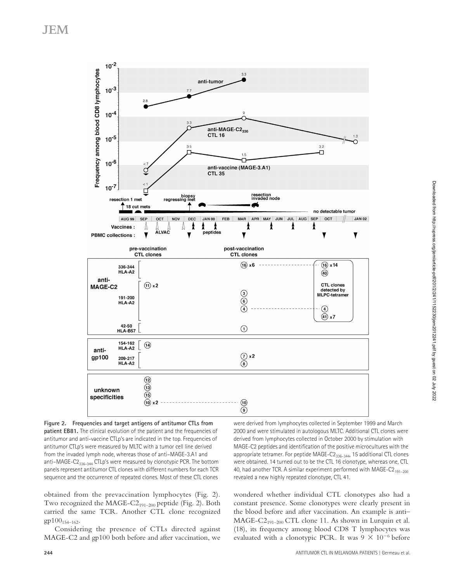

**Figure 2. Frequencies and target antigens of antitumor CTLs from patient EB81.** The clinical evolution of the patient and the frequencies of antitumor and anti-vaccine CTLp's are indicated in the top. Frequencies of antitumor CTLp's were measured by MLTC with a tumor cell line derived from the invaded lymph node, whereas those of anti–MAGE-3.A1 and anti–MAGE-C $2_{336-344}$  CTLp's were measured by clonotypic PCR. The bottom panels represent antitumor CTL clones with different numbers for each TCR sequence and the occurrence of repeated clones. Most of these CTL clones

obtained from the prevaccination lymphocytes (Fig. 2). Two recognized the MAGE-C2<sub>191-200</sub> peptide (Fig. 2). Both carried the same TCR. Another CTL clone recognized  $gp100_{154-162}$ .

Considering the presence of CTLs directed against MAGE-C2 and gp100 both before and after vaccination, we

were derived from lymphocytes collected in September 1999 and March 2000 and were stimulated in autologous MLTC. Additional CTL clones were derived from lymphocytes collected in October 2000 by stimulation with MAGE-C2 peptides and identification of the positive microcultures with the appropriate tetramer. For peptide MAGE- $C2_{336-344}$ , 15 additional CTL clones were obtained. 14 turned out to be the CTL 16 clonotype, whereas one, CTL 40, had another TCR. A similar experiment performed with MAGE-C2 $_{191-200}$ revealed a new highly repeated clonotype, CTL 41.

wondered whether individual CTL clonotypes also had a constant presence. Some clonotypes were clearly present in the blood before and after vaccination. An example is anti–  $MAGE-C2_{191-200}$  CTL clone 11. As shown in Lurquin et al. (18), its frequency among blood CD8 T lymphocytes was evaluated with a clonotypic PCR. It was  $9 \times 10^{-6}$  before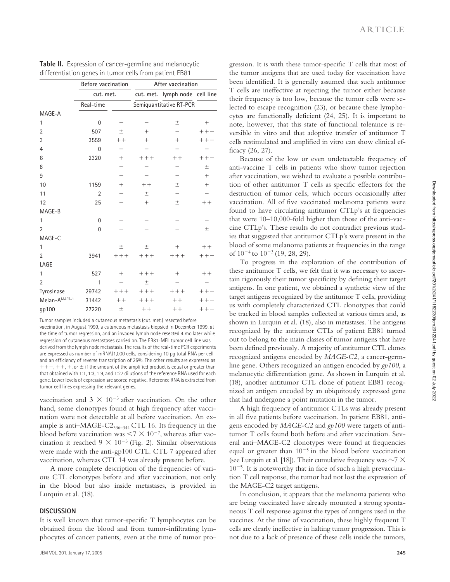|                | Before vaccination |        | After vaccination |                                |        |  |  |  |  |  |
|----------------|--------------------|--------|-------------------|--------------------------------|--------|--|--|--|--|--|
|                | cut. met.          |        |                   | cut. met. lymph node cell line |        |  |  |  |  |  |
|                | Real-time          |        |                   | Semiquantitative RT-PCR        |        |  |  |  |  |  |
| MAGE-A         |                    |        |                   |                                |        |  |  |  |  |  |
| $\mathbf{1}$   | $\Omega$           |        |                   | 土                              | $^{+}$ |  |  |  |  |  |
| $\overline{2}$ | 507                | 土      | $^{+}$            |                                | $+++$  |  |  |  |  |  |
| 3              | 3559               | $++$   | $^{+}$            | $^{+}$                         | $++++$ |  |  |  |  |  |
| $\overline{4}$ | $\mathbf 0$        |        |                   |                                |        |  |  |  |  |  |
| 6              | 2320               | $^{+}$ | $++++$            | $++$                           | $++++$ |  |  |  |  |  |
| 8              |                    |        |                   |                                | $\pm$  |  |  |  |  |  |
| 9              |                    |        |                   |                                | $^{+}$ |  |  |  |  |  |
| 10             | 1159               | $^{+}$ | $++$              | $\pm$                          | $^{+}$ |  |  |  |  |  |
| 11             | $\overline{2}$     |        | $\pm$             |                                |        |  |  |  |  |  |
| 12             | 25                 |        | $^{+}$            | $\pm$                          | $++$   |  |  |  |  |  |
| MAGE-B         |                    |        |                   |                                |        |  |  |  |  |  |
| $\mathbf{1}$   | $\Omega$           |        |                   |                                |        |  |  |  |  |  |
| $\overline{2}$ | $\Omega$           |        |                   |                                | $\pm$  |  |  |  |  |  |
| MAGE-C         |                    |        |                   |                                |        |  |  |  |  |  |
| 1              |                    | $\pm$  | $\pm$             | $^{+}$                         | $++$   |  |  |  |  |  |
| $\overline{2}$ | 3941               | $++++$ | $++++$            | $++++$                         | $++++$ |  |  |  |  |  |
| LAGE           |                    |        |                   |                                |        |  |  |  |  |  |
| 1              | 527                | $^{+}$ | $++++$            | $^{+}$                         | $++$   |  |  |  |  |  |
| $\overline{2}$ | 1                  |        | $\pm$             |                                |        |  |  |  |  |  |
| Tyrosinase     | 29742              | $++++$ | $++++$            | $++++$                         | $+++$  |  |  |  |  |  |
| Melan-AMART-1  | 31442              | $++$   | $++++$            | $++$                           | $+++$  |  |  |  |  |  |
| gp100          | 27220              | 土      | $++$              | $++$                           | $++++$ |  |  |  |  |  |

| Table II. Expression of cancer-germline and melanocytic |  |
|---------------------------------------------------------|--|
| differentiation genes in tumor cells from patient EB81  |  |

Tumor samples included a cutaneous metastasis (cut. met.) resected before vaccination, in August 1999, a cutaneous metastasis biopsied in December 1999, at the time of tumor regression, and an invaded lymph node resected 4 mo later while regression of cutaneous metastases carried on. The EB81-MEL tumor cell line was derived from the lymph node metastasis. The results of the real-time PCR experiments are expressed as number of mRNA/1,000 cells, considering 10 pg total RNA per cell and an efficiency of reverse transcription of 25%. The other results are expressed as  $+++, +, +$ , or  $\pm$  if the amount of the amplified product is equal or greater than that obtained with 1:1, 1:3, 1:9, and 1:27 dilutions of the reference RNA used for each gene. Lower levels of expression are scored negative. Reference RNA is extracted from tumor cell lines expressing the relevant genes.

vaccination and  $3 \times 10^{-5}$  after vaccination. On the other hand, some clonotypes found at high frequency after vaccination were not detectable at all before vaccination. An example is anti-MAGE-C $2_{336-344}$  CTL 16. Its frequency in the blood before vaccination was  $\leq 7 \times 10^{-7}$ , whereas after vaccination it reached  $9 \times 10^{-5}$  (Fig. 2). Similar observations were made with the anti-gp100 CTL. CTL 7 appeared after vaccination, whereas CTL 14 was already present before.

A more complete description of the frequencies of various CTL clonotypes before and after vaccination, not only in the blood but also inside metastases, is provided in Lurquin et al. (18).

### **DISCUSSION**

It is well known that tumor-specific T lymphocytes can be obtained from the blood and from tumor-infiltrating lymphocytes of cancer patients, even at the time of tumor pro-

gression. It is with these tumor-specific T cells that most of the tumor antigens that are used today for vaccination have been identified. It is generally assumed that such antitumor T cells are ineffective at rejecting the tumor either because their frequency is too low, because the tumor cells were selected to escape recognition (23), or because these lymphocytes are functionally deficient (24, 25). It is important to note, however, that this state of functional tolerance is reversible in vitro and that adoptive transfer of antitumor T cells restimulated and amplified in vitro can show clinical efficacy (26, 27).

Because of the low or even undetectable frequency of anti-vaccine T cells in patients who show tumor rejection after vaccination, we wished to evaluate a possible contribution of other antitumor T cells as specific effectors for the destruction of tumor cells, which occurs occasionally after vaccination. All of five vaccinated melanoma patients were found to have circulating antitumor CTLp's at frequencies that were 10–10,000-fold higher than those of the anti-vaccine CTLp's. These results do not contradict previous studies that suggested that antitumor CTLp's were present in the blood of some melanoma patients at frequencies in the range of  $10^{-4}$  to  $10^{-3}$  (19, 28, 29).

To progress in the exploration of the contribution of these antitumor T cells, we felt that it was necessary to ascertain rigorously their tumor specificity by defining their target antigens. In one patient, we obtained a synthetic view of the target antigens recognized by the antitumor T cells, providing us with completely characterized CTL clonotypes that could be tracked in blood samples collected at various times and, as shown in Lurquin et al. (18), also in metastases. The antigens recognized by the antitumor CTLs of patient EB81 turned out to belong to the main classes of tumor antigens that have been defined previously. A majority of antitumor CTL clones recognized antigens encoded by *MAGE-C2*, a cancer-germline gene. Others recognized an antigen encoded by *gp100*, a melanocytic differentiation gene. As shown in Lurquin et al. (18), another antitumor CTL clone of patient EB81 recognized an antigen encoded by an ubiquitously expressed gene that had undergone a point mutation in the tumor.

A high frequency of antitumor CTLs was already present in all five patients before vaccination. In patient EB81, antigens encoded by *MAGE-C2* and *gp100* were targets of antitumor T cells found both before and after vaccination. Several anti–MAGE-C2 clonotypes were found at frequencies equal or greater than  $10^{-5}$  in the blood before vaccination (see Lurquin et al. [18]). Their cumulative frequency was  $\sim$ 7  $\times$ 10-5. It is noteworthy that in face of such a high prevaccination T cell response, the tumor had not lost the expression of the MAGE-C2 target antigens.

In conclusion, it appears that the melanoma patients who are being vaccinated have already mounted a strong spontaneous T cell response against the types of antigens used in the vaccines. At the time of vaccination, these highly frequent T cells are clearly ineffective in halting tumor progression. This is not due to a lack of presence of these cells inside the tumors,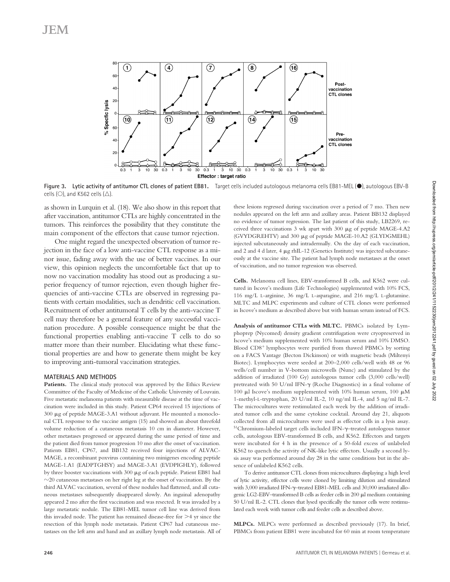

Figure 3. Lytic activity of antitumor CTL clones of patient EB81. Target cells included autologous melanoma cells EB81-MEL (.), autologous EBV-B cells (O), and K562 cells ( $\triangle$ ).

as shown in Lurquin et al. (18). We also show in this report that after vaccination, antitumor CTLs are highly concentrated in the tumors. This reinforces the possibility that they constitute the main component of the effectors that cause tumor rejection.

One might regard the unexpected observation of tumor rejection in the face of a low anti-vaccine CTL response as a minor issue, fading away with the use of better vaccines. In our view, this opinion neglects the uncomfortable fact that up to now no vaccination modality has stood out as producing a superior frequency of tumor rejection, even though higher frequencies of anti-vaccine CTLs are observed in regressing patients with certain modalities, such as dendritic cell vaccination. Recruitment of other antitumoral T cells by the anti-vaccine T cell may therefore be a general feature of any successful vaccination procedure. A possible consequence might be that the functional properties enabling anti-vaccine T cells to do so matter more than their number. Elucidating what these functional properties are and how to generate them might be key to improving anti-tumoral vaccination strategies.

#### **MATERIALS AND METHODS**

Patients. The clinical study protocol was approved by the Ethics Review Committee of the Faculty of Medicine of the Catholic University of Louvain. Five metastatic melanoma patients with measurable disease at the time of vaccination were included in this study. Patient CP64 received 15 injections of 300 µg of peptide MAGE-3.A1 without adjuvant. He mounted a monoclonal CTL response to the vaccine antigen (15) and showed an about threefold volume reduction of a cutaneous metastasis 10 cm in diameter. However, other metastases progressed or appeared during the same period of time and the patient died from tumor progression 10 mo after the onset of vaccination. Patients EB81, CP67, and BB132 received four injections of ALVAC-MAGE, a recombinant poxvirus containing two minigenes encoding peptide MAGE-1.A1 (EADPTGHSY) and MAGE-3.A1 (EVDPIGHLY), followed by three booster vaccinations with  $300 \mu g$  of each peptide. Patient EB81 had  $\sim$ 20 cutaneous metastases on her right leg at the onset of vaccination. By the third ALVAC vaccination, several of these nodules had flattened, and all cutaneous metastases subsequently disappeared slowly. An inguinal adenopathy appeared 2 mo after the first vaccination and was resected. It was invaded by a large metastatic nodule. The EB81-MEL tumor cell line was derived from this invaded node. The patient has remained disease-free for  $>4$  yr since the resection of this lymph node metastasis. Patient CP67 had cutaneous metastases on the left arm and hand and an axillary lymph node metastasis. All of

these lesions regressed during vaccination over a period of 7 mo. Then new nodules appeared on the left arm and axillary areas. Patient BB132 displayed no evidence of tumor regression. The last patient of this study, LB2269, received three vaccinations  $3$  wk apart with  $300 \mu$ g of peptide MAGE-4.A2 (GVYDGREHTV) and 300 µg of peptide MAGE-10.A2 (GLYDGMEHL) injected subcutaneously and intradermally. On the day of each vaccination, and 2 and 4 d later, 4  $\mu$ g rhIL-12 (Genetics Institute) was injected subcutaneously at the vaccine site. The patient had lymph node metastases at the onset of vaccination, and no tumor regression was observed.

**Cells.** Melanoma cell lines, EBV-transformed B cells, and K562 were cultured in Iscove's medium (Life Technologies) supplemented with 10% FCS, 116 mg/L L-arginine, 36 mg/L L-asparagine, and 216 mg/L L-glutamine. MLTC and MLPC experiments and culture of CTL clones were performed in Iscove's medium as described above but with human serum instead of FCS.

**Analysis of antitumor CTLs with MLTC.** PBMCs isolated by Lymphoprep (Nycomed) density gradient centrifugation were cryopreserved in Iscove's medium supplemented with 10% human serum and 10% DMSO. Blood CD8<sup>+</sup> lymphocytes were purified from thawed PBMCs by sorting on a FACS Vantage (Becton Dickinson) or with magnetic beads (Miltenyi Biotec). Lymphocytes were seeded at 200–2,000 cells/well with 48 or 96 wells/cell number in V-bottom microwells (Nunc) and stimulated by the addition of irradiated (100 Gy) autologous tumor cells (3,000 cells/well) pretreated with 50 U/ml IFN- $\gamma$  (Roche Diagnostics) in a final volume of 100  $\mu$ I Iscove's medium supplemented with 10% human serum, 100  $\mu$ M 1-methyl-L-tryptophan, 20 U/ml IL-2, 10 ng/ml IL-4, and 5 ng/ml IL-7. The microcultures were restimulated each week by the addition of irradiated tumor cells and the same cytokine cocktail. Around day 21, aliquots collected from all microcultures were used as effector cells in a lysis assay. <sup>51</sup>Chromium-labeled target cells included IFN-γ-treated autologous tumor cells, autologous EBV-transformed B cells, and K562. Effectors and targets were incubated for 4 h in the presence of a 50-fold excess of unlabeled K562 to quench the activity of NK-like lytic effectors. Usually a second lysis assay was performed around day 28 in the same conditions but in the absence of unlabeled K562 cells.

To derive antitumor CTL clones from microcultures displaying a high level of lytic activity, effector cells were cloned by limiting dilution and stimulated with 3,000 irradiated IFN- $\gamma$ -treated EB81-MEL cells and 30,000 irradiated allogenic LG2-EBV–transformed B cells as feeder cells in  $200 \mu$ l medium containing 50 U/ml IL-2. CTL clones that lysed specifically the tumor cells were restimulated each week with tumor cells and feeder cells as described above.

**MLPCs.** MLPCs were performed as described previously (17). In brief, PBMCs from patient EB81 were incubated for 60 min at room temperature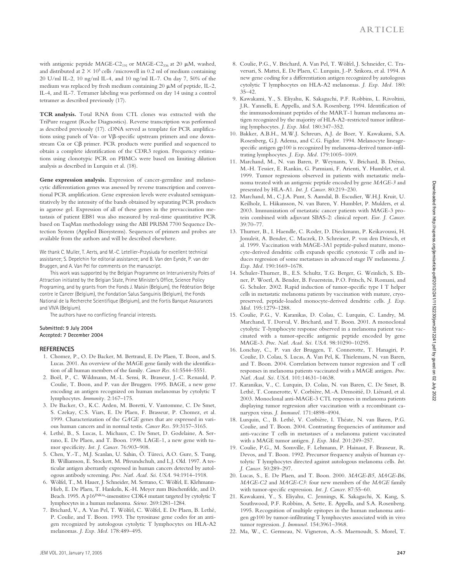with antigenic peptide MAGE-C2<sub>191</sub> or MAGE-C2<sub>336</sub> at 20  $\mu$ M, washed, and distributed at  $2 \times 10^5$  cells /microwell in 0.2 ml of medium containing 20 U/ml IL-2, 10 ng/ml IL-4, and 10 ng/ml IL-7. On day 7, 50% of the medium was replaced by fresh medium containing 20  $\mu$ M of peptide, IL-2, IL-4, and IL-7. Tetramer labeling was performed on day 14 using a control tetramer as described previously (17).

**TCR analysis.** Total RNA from CTL clones was extracted with the TriPure reagent (Roche Diagnostics). Reverse transcription was performed as described previously (17). cDNA served as template for PCR amplifications using panels of V $\alpha$ - or V $\beta$ -specific upstream primers and one downstream Co or C $\beta$  primer. PCR products were purified and sequenced to obtain a complete identification of the CDR3 region. Frequency estimations using clonotypic PCR on PBMCs were based on limiting dilution analysis as described in Lurquin et al. (18).

**Gene expression analysis.** Expression of cancer-germline and melanocytic differentiation genes was assessed by reverse transcription and conventional PCR amplification. Gene expression levels were evaluated semiquantitatively by the intensity of the bands obtained by separating PCR products in agarose gel. Expression of all of these genes in the prevaccination metastasis of patient EB81 was also measured by real-time quantitative PCR based on TaqMan methodology using the ABI PRISM 7700 Sequence Detection System (Applied Biosystems). Sequences of primers and probes are available from the authors and will be described elsewhere.

We thank C. Muller, T. Aerts, and M.-C. Letellier-Przysiuda for excellent technical assistance; S. Depelchin for editorial assistance; and B. Van den Eynde, P. van der Bruggen, and A. Van Pel for comments on the manuscript.

This work was supported by the Belgian Programme on Interuniversity Poles of Attraction initiated by the Belgian State, Prime Minister's Office, Science Policy Programing, and by grants from the Fonds J. Maisin (Belgium), the Fédération Belge contre le Cancer (Belgium), the Fondation Salus Sanguinis (Belgium), the Fonds National de la Recherche Scientifique (Belgium), and the Fortis Banque Assurances and VIVA (Belgium).

The authors have no conflicting financial interests.

#### **Submitted: 9 July 2004 Accepted: 7 December 2004**

#### **REFERENCES**

- 1. Chomez, P., O. De Backer, M. Bertrand, E. De Plaen, T. Boon, and S. Lucas. 2001. An overview of the MAGE gene family with the identification of all human members of the family. *Cancer Res.* 61:5544–5551.
- 2. Boël, P., C. Wildmann, M.-L. Sensi, R. Brasseur, J.-C. Renauld, P. Coulie, T. Boon, and P. van der Bruggen. 1995. BAGE, a new gene encoding an antigen recognized on human melanomas by cytolytic T lymphocytes. *Immunity.* 2:167–175.
- 3. De Backer, O., K.C. Arden, M. Boretti, V. Vantomme, C. De Smet, S. Czekay, C.S. Viars, E. De Plaen, F. Brasseur, P. Chomez, et al. 1999. Characterization of the *GAGE* genes that are expressed in various human cancers and in normal testis. *Cancer Res.* 59:3157–3165.
- 4. Lethé, B., S. Lucas, L. Michaux, C. De Smet, D. Godelaine, A. Serrano, E. De Plaen, and T. Boon. 1998. LAGE-1, a new gene with tumor specificity. *Int. J. Cancer.* 76:903–908.
- 5. Chen, Y.-T., M.J. Scanlan, U. Sahin, Ö. Türeci, A.O. Gure, S. Tsang, B. Williamson, E. Stockert, M. Pfreundschuh, and L.J. Old. 1997. A testicular antigen aberrantly expressed in human cancers detected by autologous antibody screening. *Proc. Natl. Acad. Sci. USA.* 94:1914–1918.
- 6. Wölfel, T., M. Hauer, J. Schneider, M. Serrano, C. Wölfel, E. Klehmann-Hieb, E. De Plaen, T. Hankeln, K.-H. Meyer zum Büschenfelde, and D. Beach. 1995. A p16<sup>INK4a</sup>-insensitive CDK4 mutant targeted by cytolytic T lymphocytes in a human melanoma. *Science.* 269:1281–1284.
- 7. Brichard, V., A. Van Pel, T. Wölfel, C. Wölfel, E. De Plaen, B. Lethé, P. Coulie, and T. Boon. 1993. The tyrosinase gene codes for an antigen recognized by autologous cytolytic T lymphocytes on HLA-A2 melanomas. *J. Exp. Med.* 178:489–495.
- 8. Coulie, P.G., V. Brichard, A. Van Pel, T. Wölfel, J. Schneider, C. Traversari, S. Mattei, E. De Plaen, C. Lurquin, J.-P. Szikora, et al. 1994. A new gene coding for a differentiation antigen recognized by autologous cytolytic T lymphocytes on HLA-A2 melanomas. *J. Exp. Med.* 180: 35–42.
- 9. Kawakami, Y., S. Eliyahu, K. Sakaguchi, P.F. Robbins, L. Rivoltini, J.R. Yannelli, E. Appella, and S.A. Rosenberg. 1994. Identification of the immunodominant peptides of the MART-1 human melanoma antigen recognized by the majority of HLA-A2–restricted tumor infiltrating lymphocytes. *J. Exp. Med.* 180:347–352.
- 10. Bakker, A.B.H., M.W.J. Schreurs, A.J. de Boer, Y. Kawakami, S.A. Rosenberg, G.J. Adema, and C.G. Figdor. 1994. Melanocyte lineagespecific antigen gp100 is recognized by melanoma-derived tumor-infiltrating lymphocytes. *J. Exp. Med.* 179:1005–1009.
- 11. Marchand, M., N. van Baren, P. Weynants, V. Brichard, B. Dréno, M.-H. Tessier, E. Rankin, G. Parmiani, F. Arienti, Y. Humblet, et al. 1999. Tumor regressions observed in patients with metastatic melanoma treated with an antigenic peptide encoded by gene *MAGE-3* and presented by HLA-A1. *Int. J. Cancer.* 80:219–230.
- 12. Marchand, M., C.J.A. Punt, S. Aamdal, B. Escudier, W.H.J. Kruit, U. Keilholz, L. Håkansson, N. van Baren, Y. Humblet, P. Mulders, et al. 2003. Immunization of metastatic cancer patients with MAGE-3 protein combined with adjuvant SBAS-2: clinical report. *Eur. J. Cancer.* 39:70–77.
- 13. Thurner, B., I. Haendle, C. Roder, D. Dieckmann, P. Keikavoussi, H. Jonuleit, A. Bender, C. Maczek, D. Schreiner, P. von den Driesch, et al. 1999. Vaccination with MAGE-3A1 peptide-pulsed mature, monocyte-derived dendritic cells expands specific cytotoxic T cells and induces regression of some metastases in advanced stage IV melanoma. *J. Exp. Med.* 190:1669–1678.
- 14. Schuler-Thurner, B., E.S. Schultz, T.G. Berger, G. Weinlich, S. Ebner, P. Woerl, A. Bender, B. Feuerstein, P.O. Fritsch, N. Romani, and G. Schuler. 2002. Rapid induction of tumor-specific type I T helper cells in metastatic melanoma patients by vaccination with mature, cryopreserved, peptide-loaded monocyte-derived dendritic cells. *J. Exp. Med.* 195:1279–1288.
- 15. Coulie, P.G., V. Karanikas, D. Colau, C. Lurquin, C. Landry, M. Marchand, T. Dorval, V. Brichard, and T. Boon. 2001. A monoclonal cytolytic T-lymphocyte response observed in a melanoma patient vaccinated with a tumor-specific antigenic peptide encoded by gene MAGE-3. *Proc. Natl. Acad. Sci. USA.* 98:10290–10295.
- 16. Lonchay, C., P. van der Bruggen, T. Connerotte, T. Hanagiri, P. Coulie, D. Colau, S. Lucas, A. Van Pel, K. Thielemans, N. van Baren, and T. Boon. 2004. Correlation between tumor regression and T cell responses in melanoma patients vaccinated with a MAGE antigen. *Proc. Natl. Acad. Sci. USA.* 101:14631–14638.
- 17. Karanikas, V., C. Lurquin, D. Colau, N. van Baren, C. De Smet, B. Lethé, T. Connerotte, V. Corbière, M.-A. Demoitié, D. Liénard, et al. 2003. Monoclonal anti-MAGE-3 CTL responses in melanoma patients displaying tumor regression after vaccination with a recombinant canarypox virus. *J. Immunol.* 171:4898–4904.
- 18. Lurquin, C., B. Lethé, V. Corbière, I. Théate, N. van Baren, P.G. Coulie, and T. Boon. 2004. Contrasting frequencies of antitumor and anti-vaccine T cells in metastases of a melanoma patient vaccinated with a MAGE tumor antigen. *J. Exp. Med.* 201:249–257.
- 19. Coulie, P.G., M. Somville, F. Lehmann, P. Hainaut, F. Brasseur, R. Devos, and T. Boon. 1992. Precursor frequency analysis of human cytolytic T lymphocytes directed against autologous melanoma cells. *Int. J. Cancer.* 50:289–297.
- 20. Lucas, S., E. De Plaen, and T. Boon. 2000. *MAGE-B5*, *MAGE-B6*, *MAGE-C2* and *MAGE-C3*: four new members of the *MAGE* family with tumor-specific expression. *Int. J. Cancer.* 87:55–60.
- 21. Kawakami, Y., S. Eliyahu, C. Jennings, K. Sakaguchi, X. Kang, S. Southwood, P.F. Robbins, A. Sette, E. Appella, and S.A. Rosenberg. 1995. Recognition of multiple epitopes in the human melanoma antigen gp100 by tumor-infiltrating T lymphocytes associated with in vivo tumor regression. *J. Immunol.* 154:3961–3968.
- 22. Ma, W., C. Germeau, N. Vigneron, A.-S. Maernoudt, S. Morel, T.